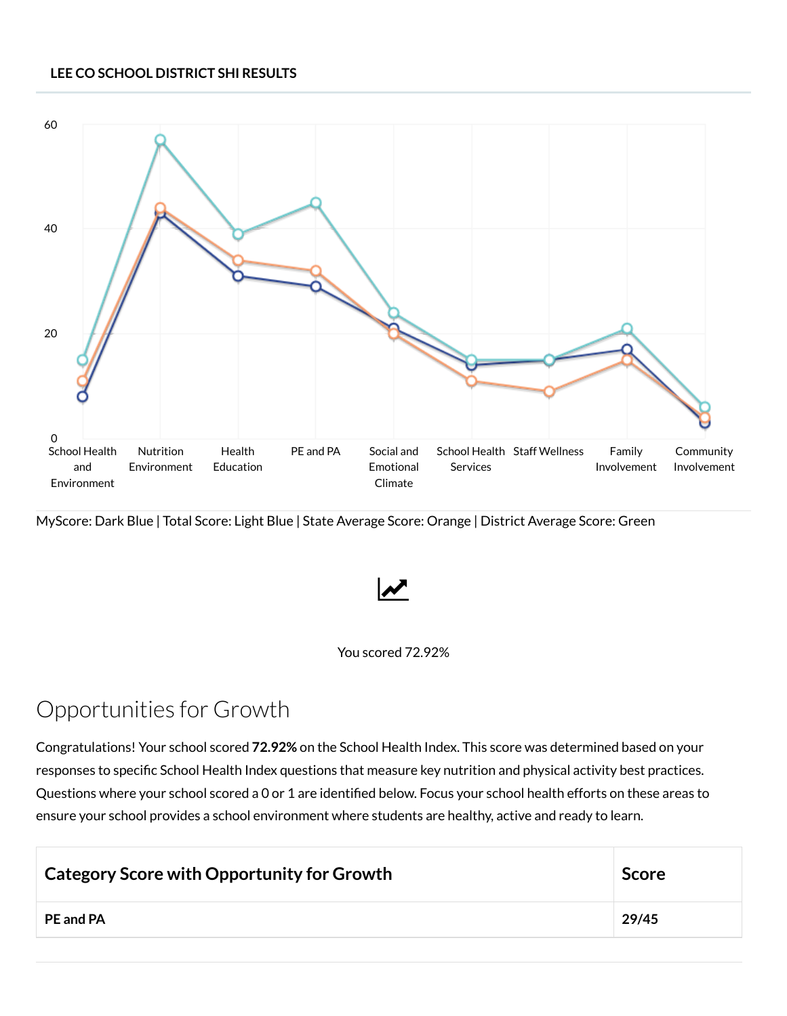## **LEE CO SCHOOL DISTRICT SHI RESULTS**



MyScore: Dark Blue | Total Score: Light Blue | State Average Score: Orange | District Average Score: Green



## You scored 72.92%

## Opportunities for Growth

Congratulations! Your school scored **72.92%** on the School Health Index. This score was determined based on your responses to specific School Health Index questions that measure key nutrition and physical activity best practices. Questions where your school scored a 0 or 1 are identified below. Focus your school health efforts on these areas to ensure your school provides a school environment where students are healthy, active and ready to learn.

| <b>Category Score with Opportunity for Growth</b> | <b>Score</b> |
|---------------------------------------------------|--------------|
| <b>PE and PA</b>                                  | 29/45        |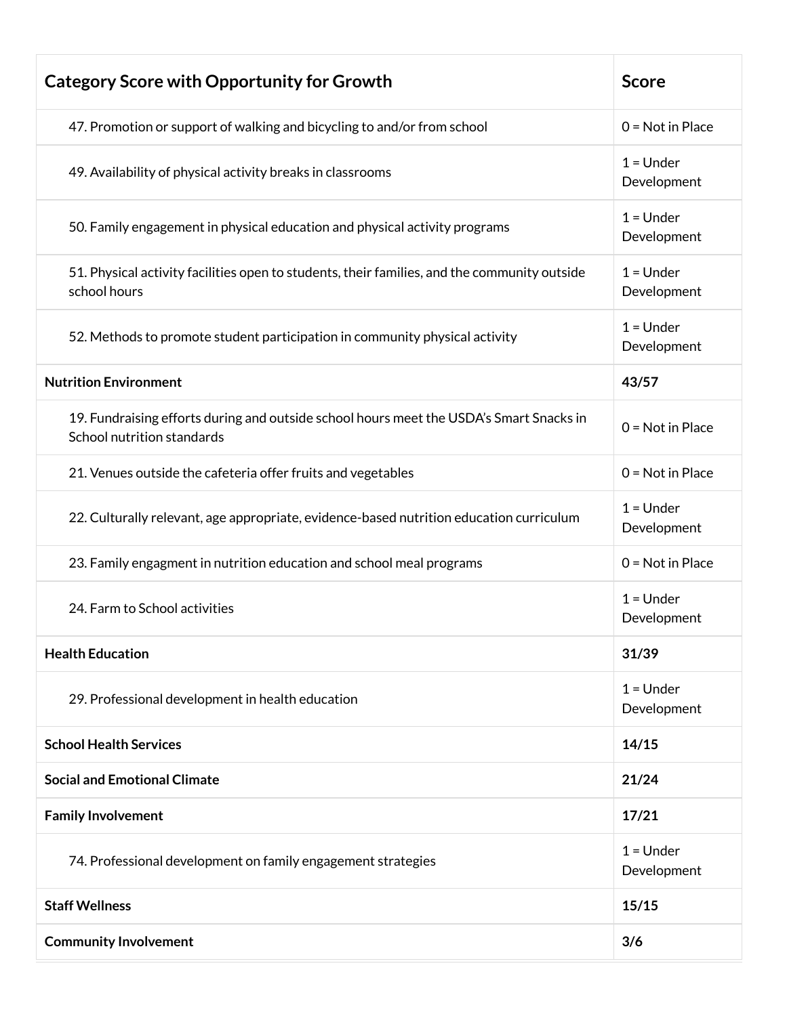| <b>Category Score with Opportunity for Growth</b>                                                                     | <b>Score</b>               |
|-----------------------------------------------------------------------------------------------------------------------|----------------------------|
| 47. Promotion or support of walking and bicycling to and/or from school                                               | $0 = Not in Place$         |
| 49. Availability of physical activity breaks in classrooms                                                            | $1 =$ Under<br>Development |
| 50. Family engagement in physical education and physical activity programs                                            | $1 =$ Under<br>Development |
| 51. Physical activity facilities open to students, their families, and the community outside<br>school hours          | $1 =$ Under<br>Development |
| 52. Methods to promote student participation in community physical activity                                           | $1 =$ Under<br>Development |
| <b>Nutrition Environment</b>                                                                                          | 43/57                      |
| 19. Fundraising efforts during and outside school hours meet the USDA's Smart Snacks in<br>School nutrition standards | $0 = Not in Place$         |
| 21. Venues outside the cafeteria offer fruits and vegetables                                                          | $0 = Not in Place$         |
| 22. Culturally relevant, age appropriate, evidence-based nutrition education curriculum                               | $1 =$ Under<br>Development |
| 23. Family engagment in nutrition education and school meal programs                                                  | $0 = Not in Place$         |
| 24. Farm to School activities                                                                                         | $1 =$ Under<br>Development |
| <b>Health Education</b>                                                                                               | 31/39                      |
| 29. Professional development in health education                                                                      | $1 =$ Under<br>Development |
| <b>School Health Services</b>                                                                                         | 14/15                      |
| <b>Social and Emotional Climate</b>                                                                                   | 21/24                      |
| <b>Family Involvement</b>                                                                                             | 17/21                      |
| 74. Professional development on family engagement strategies                                                          | $1 =$ Under<br>Development |
| <b>Staff Wellness</b>                                                                                                 | 15/15                      |
| <b>Community Involvement</b>                                                                                          | 3/6                        |